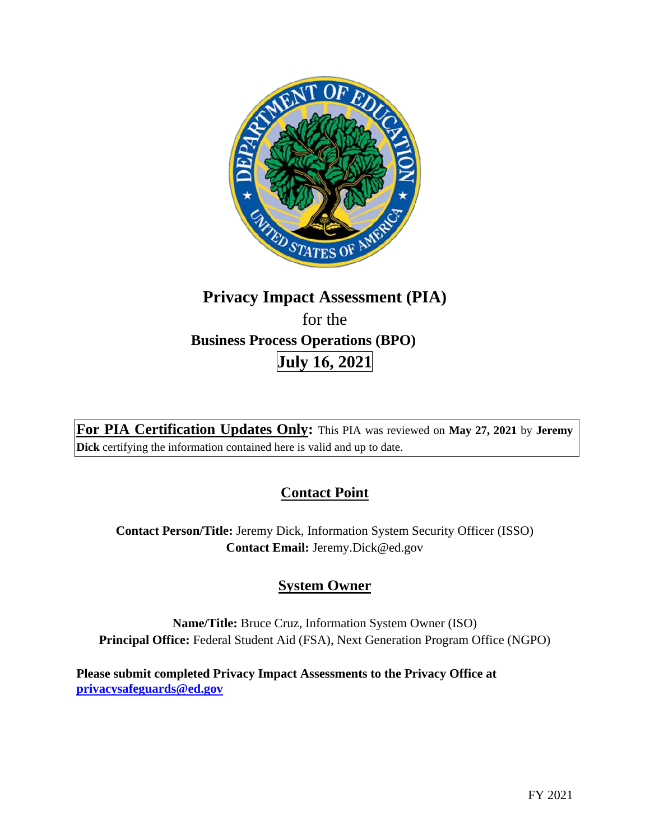

# **Privacy Impact Assessment (PIA)**  for the **Business Process Operations (BPO) July 16, 2021**

**For PIA Certification Updates Only:** This PIA was reviewed on **May 27, 2021** by **Jeremy Dick** certifying the information contained here is valid and up to date.

## **Contact Point**

**Contact Person/Title:** Jeremy Dick, Information System Security Officer (ISSO) **Contact Email:** [Jeremy.Dick@ed.gov](mailto:Jeremy.Dick@ed.gov) 

## **System Owner**

**Name/Title:** Bruce Cruz, Information System Owner (ISO) **Principal Office:** Federal Student Aid (FSA), Next Generation Program Office (NGPO)

**Please submit completed Privacy Impact Assessments to the Privacy Office at [privacysafeguards@ed.gov](mailto:privacysafeguards@ed.gov)**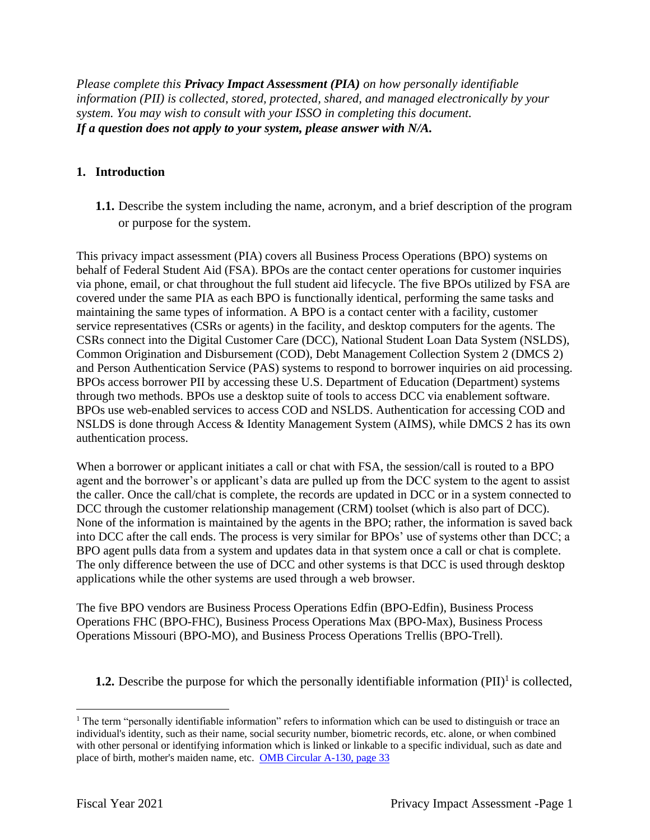*Please complete this Privacy Impact Assessment (PIA) on how personally identifiable information (PII) is collected, stored, protected, shared, and managed electronically by your system. You may wish to consult with your ISSO in completing this document. If a question does not apply to your system, please answer with N/A.* 

## **1. Introduction**

**1.1.** Describe the system including the name, acronym, and a brief description of the program or purpose for the system.

This privacy impact assessment (PIA) covers all Business Process Operations (BPO) systems on behalf of Federal Student Aid (FSA). BPOs are the contact center operations for customer inquiries via phone, email, or chat throughout the full student aid lifecycle. The five BPOs utilized by FSA are covered under the same PIA as each BPO is functionally identical, performing the same tasks and maintaining the same types of information. A BPO is a contact center with a facility, customer service representatives (CSRs or agents) in the facility, and desktop computers for the agents. The CSRs connect into the Digital Customer Care (DCC), National Student Loan Data System (NSLDS), Common Origination and Disbursement (COD), Debt Management Collection System 2 (DMCS 2) and Person Authentication Service (PAS) systems to respond to borrower inquiries on aid processing. BPOs access borrower PII by accessing these U.S. Department of Education (Department) systems through two methods. BPOs use a desktop suite of tools to access DCC via enablement software. BPOs use web-enabled services to access COD and NSLDS. Authentication for accessing COD and NSLDS is done through Access & Identity Management System (AIMS), while DMCS 2 has its own authentication process.

When a borrower or applicant initiates a call or chat with FSA, the session/call is routed to a BPO agent and the borrower's or applicant's data are pulled up from the DCC system to the agent to assist the caller. Once the call/chat is complete, the records are updated in DCC or in a system connected to DCC through the customer relationship management (CRM) toolset (which is also part of DCC). None of the information is maintained by the agents in the BPO; rather, the information is saved back into DCC after the call ends. The process is very similar for BPOs' use of systems other than DCC; a BPO agent pulls data from a system and updates data in that system once a call or chat is complete. The only difference between the use of DCC and other systems is that DCC is used through desktop applications while the other systems are used through a web browser.

The five BPO vendors are Business Process Operations Edfin (BPO-Edfin), Business Process Operations FHC (BPO-FHC), Business Process Operations Max (BPO-Max), Business Process Operations Missouri (BPO-MO), and Business Process Operations Trellis (BPO-Trell).

**1.2.** Describe the purpose for which the personally identifiable information  $(PII)^{1}$  is collected,

<sup>&</sup>lt;sup>1</sup> The term "personally identifiable information" refers to information which can be used to distinguish or trace an individual's identity, such as their name, social security number, biometric records, etc. alone, or when combined with other personal or identifying information which is linked or linkable to a specific individual, such as date and place of birth, mother's maiden name, etc. OMB Circular A-130, page 33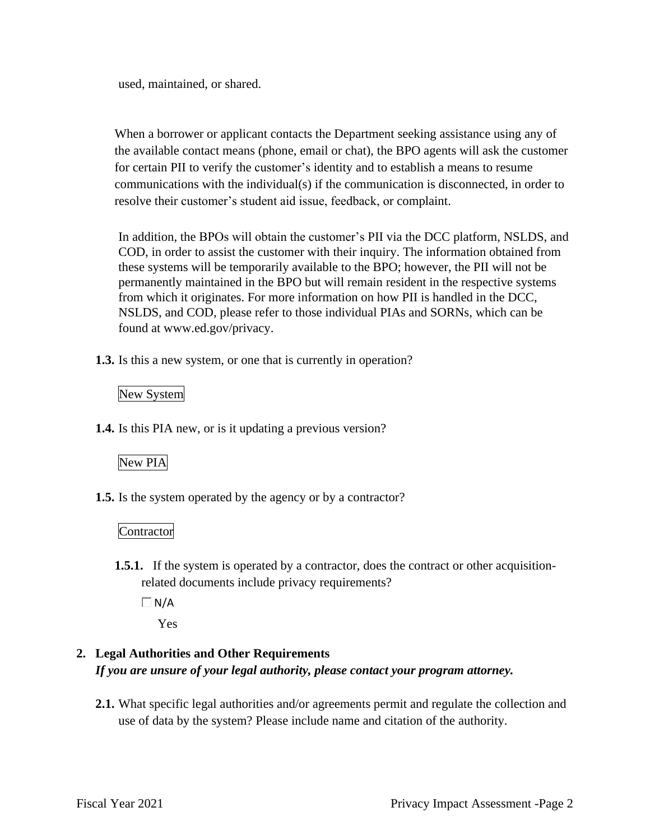used, maintained, or shared.

When a borrower or applicant contacts the Department seeking assistance using any of the available contact means (phone, email or chat), the BPO agents will ask the customer for certain PII to verify the customer's identity and to establish a means to resume communications with the individual(s) if the communication is disconnected, in order to resolve their customer's student aid issue, feedback, or complaint.

In addition, the BPOs will obtain the customer's PII via the DCC platform, NSLDS, and COD, in order to assist the customer with their inquiry. The information obtained from these systems will be temporarily available to the BPO; however, the PII will not be permanently maintained in the BPO but will remain resident in the respective systems from which it originates. For more information on how PII is handled in the DCC, NSLDS, and COD, please refer to those individual PIAs and SORNs, which can be found at [www.ed.gov/privacy.](www.ed.gov/privacy)

**1.3.** Is this a new system, or one that is currently in operation?

## New System

**1.4.** Is this PIA new, or is it updating a previous version?

## New PIA

**1.5.** Is the system operated by the agency or by a contractor?

## Contractor

- **1.5.1.** If the system is operated by a contractor, does the contract or other acquisitionrelated documents include privacy requirements?
	- $\Box$  N/A

Yes

## **2. Legal Authorities and Other Requirements**  *If you are unsure of your legal authority, please contact your program attorney.*

**2.1.** What specific legal authorities and/or agreements permit and regulate the collection and use of data by the system? Please include name and citation of the authority.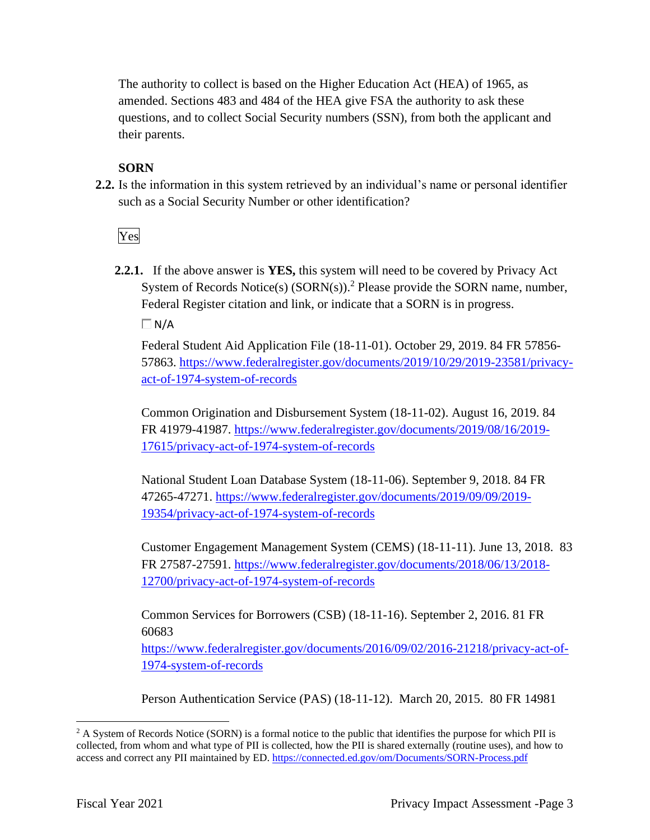The authority to collect is based on the Higher Education Act (HEA) of 1965, as amended. Sections 483 and 484 of the HEA give FSA the authority to ask these questions, and to collect Social Security numbers (SSN), from both the applicant and their parents.

## **SORN**

**2.2.** Is the information in this system retrieved by an individual's name or personal identifier such as a Social Security Number or other identification?

Yes

**2.2.1.** If the above answer is **YES,** this system will need to be covered by Privacy Act System of Records Notice(s)  $(SORN(s))$ .<sup>2</sup> Please provide the SORN name, number, Federal Register citation and link, or indicate that a SORN is in progress.  $\Box N/A$ 

Federal Student Aid Application File (18-11-01). October 29, 2019. 84 FR 57856- 57863.<https://www.federalregister.gov/documents/2019/10/29/2019-23581/privacy>act-of-1974-system-of-records

Common Origination and Disbursement System (18-11-02). August 16, 2019. 84 FR 41979-41987. <https://www.federalregister.gov/documents/2019/08/16/2019>- 17615/privacy-act-of-1974-system-of-records

National Student Loan Database System (18-11-06). September 9, 2018. 84 FR 47265-47271. [https://www.federalregister.gov/documents/2019/09/09/2019-](https://www.federalregister.gov/documents/2019/09/09/2019) 19354/privacy-act-of-1974-system-of-records

Customer Engagement Management System (CEMS) (18-11-11). June 13, 2018. 83 FR 27587-27591. <https://www.federalregister.gov/documents/2018/06/13/2018>- 12700/privacy-act-of-1974-system-of-records

Common Services for Borrowers (CSB) (18-11-16). September 2, 2016. 81 FR 60683

[https://www.federalregister.gov/documents/2016/09/02/2016-21218/privacy-act-of-](https://www.federalregister.gov/documents/2016/09/02/2016-21218/privacy-act-of)1974-system-of-records

Person Authentication Service (PAS) (18-11-12). March 20, 2015. 80 FR 14981

<sup>&</sup>lt;sup>2</sup> A System of Records Notice (SORN) is a formal notice to the public that identifies the purpose for which PII is collected, from whom and what type of PII is collected, how the PII is shared externally (routine uses), and how to access and correct any PII maintained by ED. <https://connected.ed.gov/om/Documents/SORN-Process.pdf>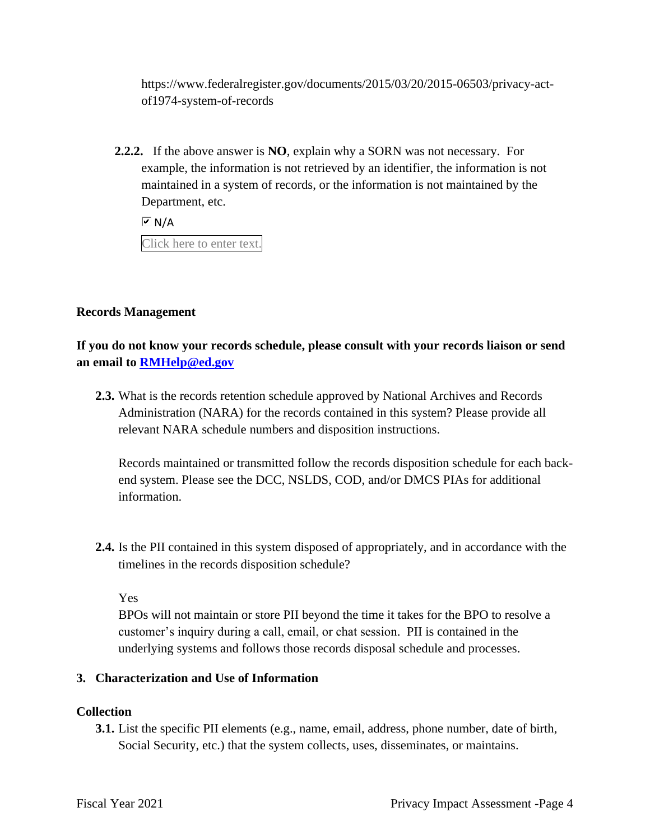<https://www.federalregister.gov/documents/2015/03/20/2015-06503/privacy-act>of1974-system-of-records

 Department, etc. **2.2.2.** If the above answer is **NO**, explain why a SORN was not necessary. For example, the information is not retrieved by an identifier, the information is not maintained in a system of records, or the information is not maintained by the

 $\overline{M}$  N/A

Click here to enter text.

## **Records Management**

**If you do not know your records schedule, please consult with your records liaison or send an email to [RMHelp@ed.gov](mailto:RMHelp@ed.gov)** 

**2.3.** What is the records retention schedule approved by National Archives and Records Administration (NARA) for the records contained in this system? Please provide all relevant NARA schedule numbers and disposition instructions.

Records maintained or transmitted follow the records disposition schedule for each backend system. Please see the DCC, NSLDS, COD, and/or DMCS PIAs for additional information.

**2.4.** Is the PII contained in this system disposed of appropriately, and in accordance with the timelines in the records disposition schedule?

Yes

BPOs will not maintain or store PII beyond the time it takes for the BPO to resolve a customer's inquiry during a call, email, or chat session. PII is contained in the underlying systems and follows those records disposal schedule and processes.

#### **3. Characterization and Use of Information**

#### **Collection**

**3.1.** List the specific PII elements (e.g., name, email, address, phone number, date of birth, Social Security, etc.) that the system collects, uses, disseminates, or maintains.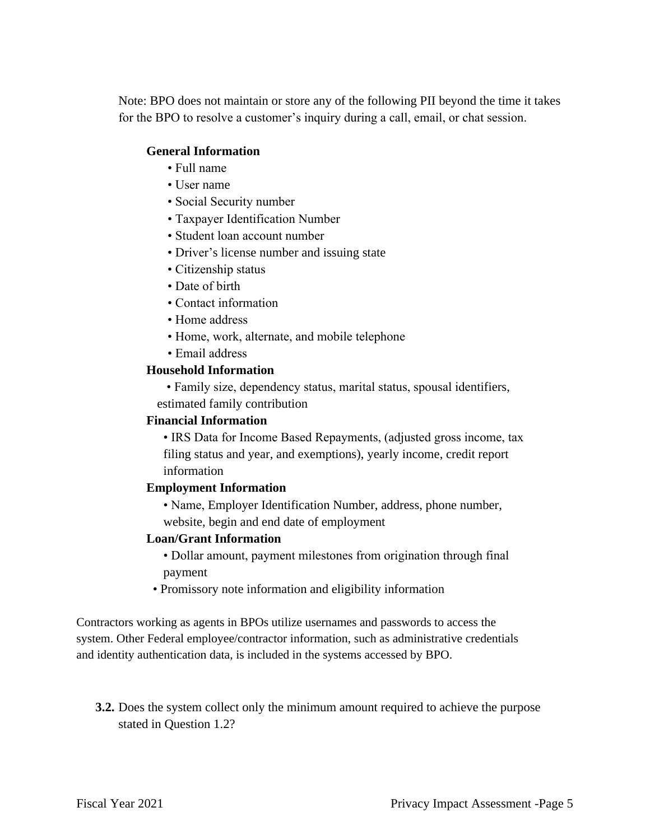Note: BPO does not maintain or store any of the following PII beyond the time it takes for the BPO to resolve a customer's inquiry during a call, email, or chat session.

#### **General Information**

- Full name
- User name
- Social Security number
- Taxpayer Identification Number
- Student loan account number
- Driver's license number and issuing state
- Citizenship status
- Date of birth
- Contact information
- Home address
- Home, work, alternate, and mobile telephone
- Email address

#### **Household Information**

• Family size, dependency status, marital status, spousal identifiers, estimated family contribution

#### **Financial Information**

• IRS Data for Income Based Repayments, (adjusted gross income, tax filing status and year, and exemptions), yearly income, credit report information

#### **Employment Information**

• Name, Employer Identification Number, address, phone number, website, begin and end date of employment

#### **Loan/Grant Information**

• Dollar amount, payment milestones from origination through final payment

• Promissory note information and eligibility information

Contractors working as agents in BPOs utilize usernames and passwords to access the system. Other Federal employee/contractor information, such as administrative credentials and identity authentication data, is included in the systems accessed by BPO.

**3.2.** Does the system collect only the minimum amount required to achieve the purpose stated in Question 1.2?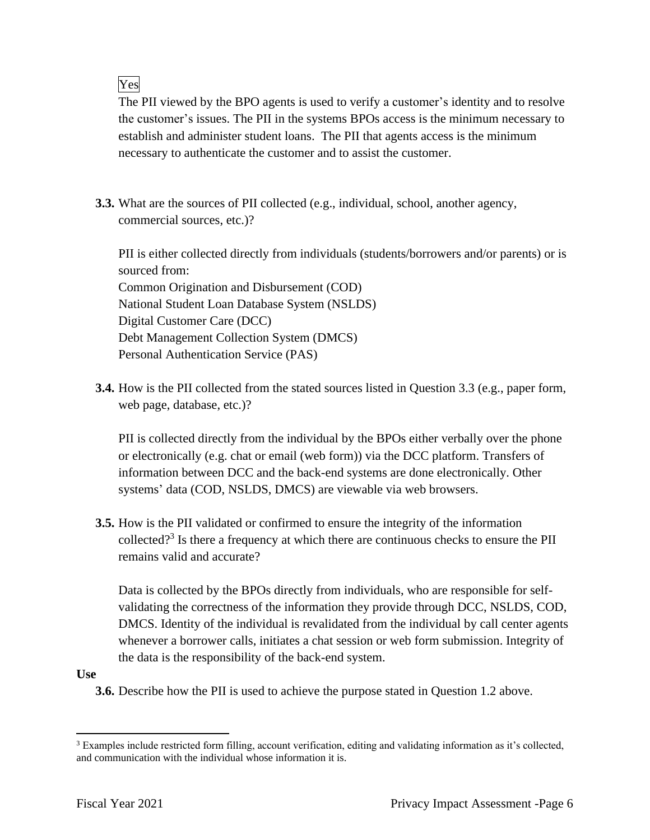Yes

 establish and administer student loans. The PII that agents access is the minimum The PII viewed by the BPO agents is used to verify a customer's identity and to resolve the customer's issues. The PII in the systems BPOs access is the minimum necessary to necessary to authenticate the customer and to assist the customer.

**3.3.** What are the sources of PII collected (e.g., individual, school, another agency, commercial sources, etc.)?

PII is either collected directly from individuals (students/borrowers and/or parents) or is sourced from: Common Origination and Disbursement (COD) National Student Loan Database System (NSLDS) Digital Customer Care (DCC) Debt Management Collection System (DMCS) Personal Authentication Service (PAS)

**3.4.** How is the PII collected from the stated sources listed in Question 3.3 (e.g., paper form, web page, database, etc.)?

PII is collected directly from the individual by the BPOs either verbally over the phone or electronically (e.g. chat or email (web form)) via the DCC platform. Transfers of information between DCC and the back-end systems are done electronically. Other systems' data (COD, NSLDS, DMCS) are viewable via web browsers.

**3.5.** How is the PII validated or confirmed to ensure the integrity of the information collected?<sup>3</sup> Is there a frequency at which there are continuous checks to ensure the PII remains valid and accurate?

 DMCS. Identity of the individual is revalidated from the individual by call center agents Data is collected by the BPOs directly from individuals, who are responsible for selfvalidating the correctness of the information they provide through DCC, NSLDS, COD, whenever a borrower calls, initiates a chat session or web form submission. Integrity of the data is the responsibility of the back-end system.

## **Use**

**3.6.** Describe how the PII is used to achieve the purpose stated in Question 1.2 above.

<sup>&</sup>lt;sup>3</sup> Examples include restricted form filling, account verification, editing and validating information as it's collected, and communication with the individual whose information it is.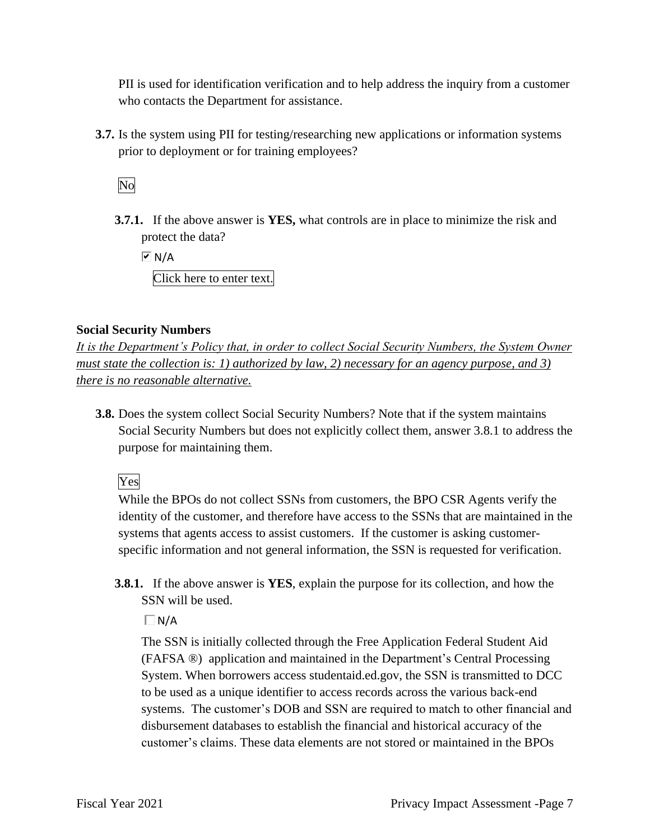PII is used for identification verification and to help address the inquiry from a customer who contacts the Department for assistance.

**3.7.** Is the system using PII for testing/researching new applications or information systems prior to deployment or for training employees?

No

**3.7.1.** If the above answer is **YES,** what controls are in place to minimize the risk and protect the data?

 $\overline{M}$  N/A

Click here to enter text.

## **Social Security Numbers**

*It is the Department's Policy that, in order to collect Social Security Numbers, the System Owner must state the collection is: 1) authorized by law, 2) necessary for an agency purpose, and 3) there is no reasonable alternative.* 

**3.8.** Does the system collect Social Security Numbers? Note that if the system maintains Social Security Numbers but does not explicitly collect them, answer 3.8.1 to address the purpose for maintaining them.

Yes

 systems that agents access to assist customers. If the customer is asking customer- specific information and not general information, the SSN is requested for verification. While the BPOs do not collect SSNs from customers, the BPO CSR Agents verify the identity of the customer, and therefore have access to the SSNs that are maintained in the

**3.8.1.** If the above answer is **YES**, explain the purpose for its collection, and how the SSN will be used.

 $\Box$ N/A

The SSN is initially collected through the Free Application Federal Student Aid (FAFSA ®) application and maintained in the Department's Central Processing System. When borrowers access [studentaid.ed.gov](https://studentaid.ed.gov), the SSN is transmitted to DCC to be used as a unique identifier to access records across the various back-end systems. The customer's DOB and SSN are required to match to other financial and disbursement databases to establish the financial and historical accuracy of the customer's claims. These data elements are not stored or maintained in the BPOs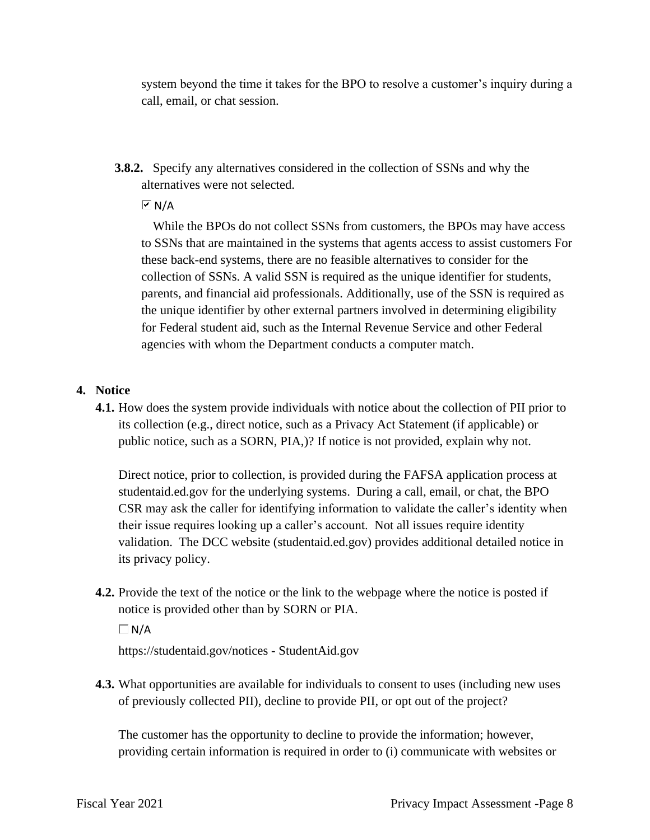system beyond the time it takes for the BPO to resolve a customer's inquiry during a call, email, or chat session.

**3.8.2.** Specify any alternatives considered in the collection of SSNs and why the alternatives were not selected.

 $\overline{M}$  N/A

While the BPOs do not collect SSNs from customers, the BPOs may have access to SSNs that are maintained in the systems that agents access to assist customers For these back-end systems, there are no feasible alternatives to consider for the collection of SSNs. A valid SSN is required as the unique identifier for students, parents, and financial aid professionals. Additionally, use of the SSN is required as the unique identifier by other external partners involved in determining eligibility for Federal student aid, such as the Internal Revenue Service and other Federal agencies with whom the Department conducts a computer match.

## **4. Notice**

 **4.1.** How does the system provide individuals with notice about the collection of PII prior to its collection (e.g., direct notice, such as a Privacy Act Statement (if applicable) or public notice, such as a SORN, PIA,)? If notice is not provided, explain why not.

Direct notice, prior to collection, is provided during the FAFSA application process at [studentaid.ed.gov](https://studentaid.ed.gov) for the underlying systems. During a call, email, or chat, the BPO CSR may ask the caller for identifying information to validate the caller's identity when their issue requires looking up a caller's account. Not all issues require identity validation. The DCC website ([studentaid.ed.gov](https://studentaid.ed.gov)) provides additional detailed notice in its privacy policy.

**4.2.** Provide the text of the notice or the link to the webpage where the notice is posted if notice is provided other than by SORN or PIA.

 $\Box$ N/A

<https://studentaid.gov/notices>- [StudentAid.gov](https://StudentAid.gov)

**4.3.** What opportunities are available for individuals to consent to uses (including new uses of previously collected PII), decline to provide PII, or opt out of the project?

The customer has the opportunity to decline to provide the information; however, providing certain information is required in order to (i) communicate with websites or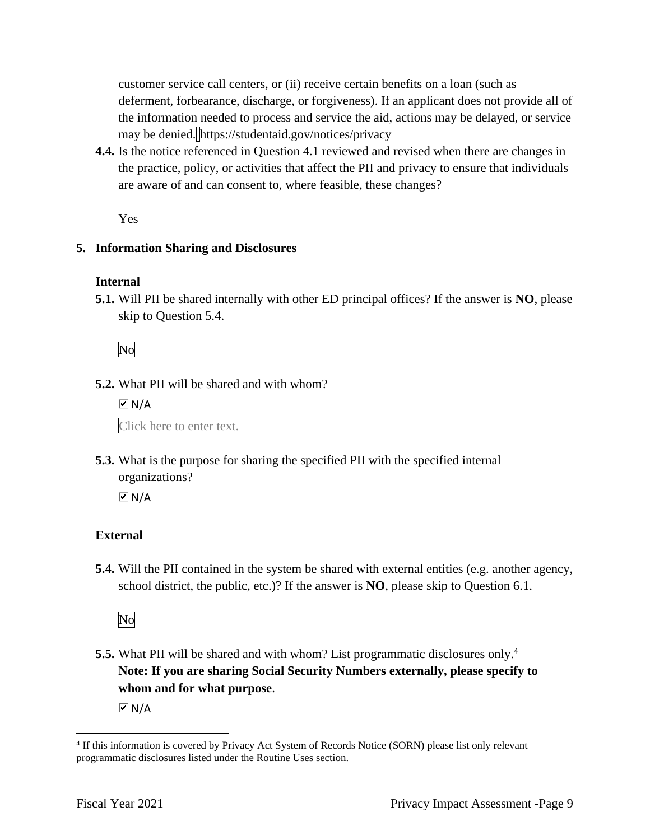customer service call centers, or (ii) receive certain benefits on a loan (such as deferment, forbearance, discharge, or forgiveness). If an applicant does not provide all of the information needed to process and service the aid, actions may be delayed, or service may be denied. <https://studentaid.gov/notices/privacy>

**4.4.** Is the notice referenced in Question 4.1 reviewed and revised when there are changes in the practice, policy, or activities that affect the PII and privacy to ensure that individuals are aware of and can consent to, where feasible, these changes?

Yes

## **5. Information Sharing and Disclosures**

## **Internal**

**5.1.** Will PII be shared internally with other ED principal offices? If the answer is **NO**, please skip to Question 5.4.

No

**5.2.** What PII will be shared and with whom?

 $\overline{M}$  N/A

Click here to enter text.

**5.3.** What is the purpose for sharing the specified PII with the specified internal organizations?

 $\overline{M}$  N/A

## **External**

**5.4.** Will the PII contained in the system be shared with external entities (e.g. another agency, school district, the public, etc.)? If the answer is **NO**, please skip to Question 6.1.

No

**5.5.** What PII will be shared and with whom? List programmatic disclosures only.<sup>4</sup> **Note: If you are sharing Social Security Numbers externally, please specify to whom and for what purpose**.

 $\overline{M}$  N/A

 4 If this information is covered by Privacy Act System of Records Notice (SORN) please list only relevant programmatic disclosures listed under the Routine Uses section.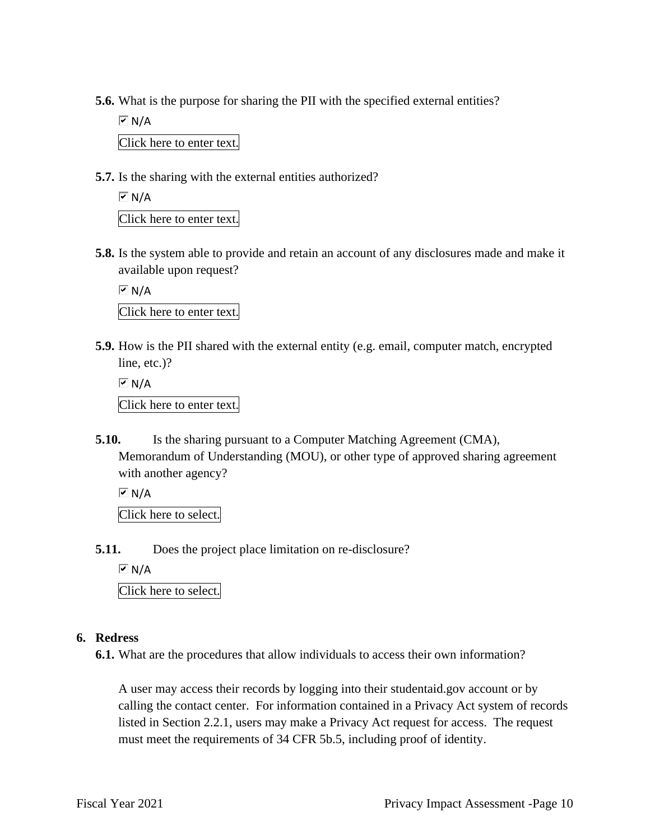**5.6.** What is the purpose for sharing the PII with the specified external entities?

 $\boxed{\triangleright}$  N/A Click here to enter text.

**5.7.** Is the sharing with the external entities authorized?

 $\overline{M}$  N/A Click here to enter text.

**5.8.** Is the system able to provide and retain an account of any disclosures made and make it

available upon request?  $\overline{M}$  N/A

Click here to enter text.

**5.9.** How is the PII shared with the external entity (e.g. email, computer match, encrypted line, etc.)?

 $\overline{M}$  N/A Click here to enter text.

**5.10.** Is the sharing pursuant to a Computer Matching Agreement (CMA), Memorandum of Understanding (MOU), or other type of approved sharing agreement with another agency?

 $\overline{M}$  N/A

Click here to select.

**5.11.** Does the project place limitation on re-disclosure?

 $\overline{M}$  N/A

Click here to select.

## **6. Redress**

**6.1.** What are the procedures that allow individuals to access their own information?

A user may access their records by logging into their [studentaid.gov](https://studentaid.gov) account or by calling the contact center. For information contained in a Privacy Act system of records listed in Section 2.2.1, users may make a Privacy Act request for access. The request must meet the requirements of 34 CFR 5b.5, including proof of identity.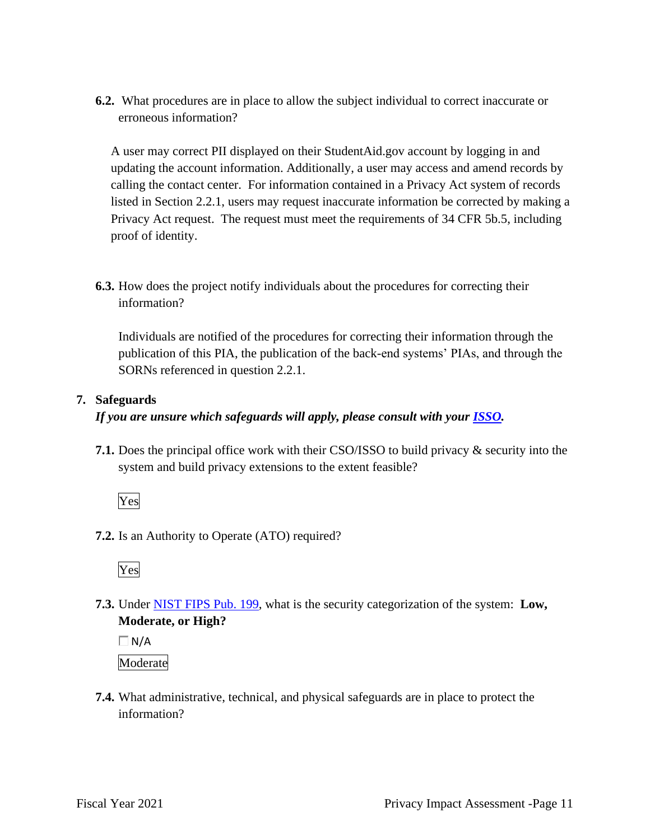**6.2.** What procedures are in place to allow the subject individual to correct inaccurate or erroneous information?

A user may correct PII displayed on their [StudentAid.gov](https://StudentAid.gov) account by logging in and updating the account information. Additionally, a user may access and amend records by calling the contact center. For information contained in a Privacy Act system of records listed in Section 2.2.1, users may request inaccurate information be corrected by making a Privacy Act request. The request must meet the requirements of 34 CFR 5b.5, including proof of identity.

**6.3.** How does the project notify individuals about the procedures for correcting their information?

Individuals are notified of the procedures for correcting their information through the publication of this PIA, the publication of the back-end systems' PIAs, and through the SORNs referenced in question 2.2.1.

## **7. Safeguards**

*If you are unsure which safeguards will apply, please consult with your ISSO.* 

**7.1.** Does the principal office work with their CSO/ISSO to build privacy & security into the system and build privacy extensions to the extent feasible?

Yes

**7.2.** Is an Authority to Operate (ATO) required?

Yes

 **7.3.** Under NIST FIPS Pub. 199, what is the security categorization of the system: **Low, Moderate, or High?** 

 $\Box$ N/A

Moderate

**7.4.** What administrative, technical, and physical safeguards are in place to protect the information?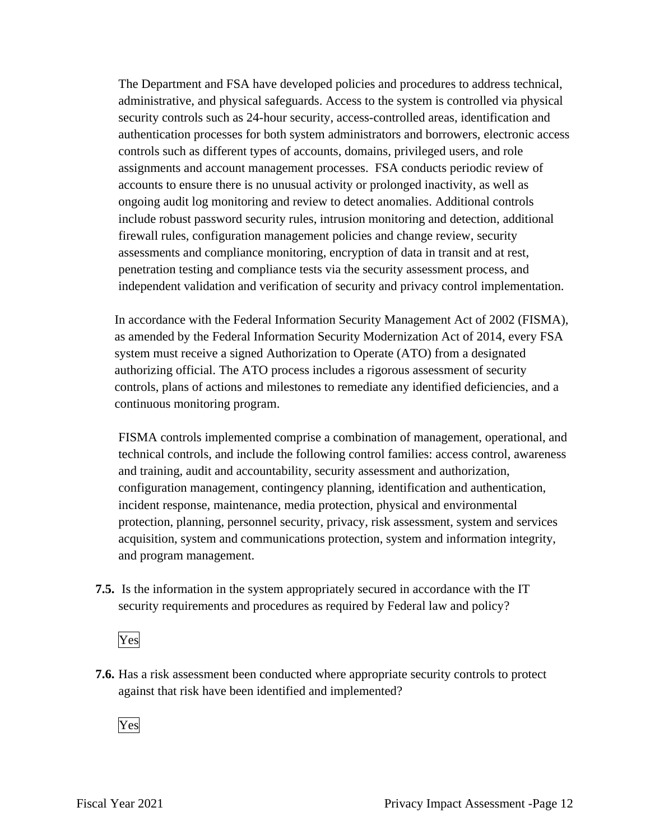The Department and FSA have developed policies and procedures to address technical, administrative, and physical safeguards. Access to the system is controlled via physical security controls such as 24-hour security, access-controlled areas, identification and authentication processes for both system administrators and borrowers, electronic access controls such as different types of accounts, domains, privileged users, and role assignments and account management processes. FSA conducts periodic review of accounts to ensure there is no unusual activity or prolonged inactivity, as well as ongoing audit log monitoring and review to detect anomalies. Additional controls include robust password security rules, intrusion monitoring and detection, additional firewall rules, configuration management policies and change review, security assessments and compliance monitoring, encryption of data in transit and at rest, penetration testing and compliance tests via the security assessment process, and independent validation and verification of security and privacy control implementation.

In accordance with the Federal Information Security Management Act of 2002 (FISMA), as amended by the Federal Information Security Modernization Act of 2014, every FSA system must receive a signed Authorization to Operate (ATO) from a designated authorizing official. The ATO process includes a rigorous assessment of security controls, plans of actions and milestones to remediate any identified deficiencies, and a continuous monitoring program.

FISMA controls implemented comprise a combination of management, operational, and technical controls, and include the following control families: access control, awareness and training, audit and accountability, security assessment and authorization, configuration management, contingency planning, identification and authentication, incident response, maintenance, media protection, physical and environmental protection, planning, personnel security, privacy, risk assessment, system and services acquisition, system and communications protection, system and information integrity, and program management.

**7.5.** Is the information in the system appropriately secured in accordance with the IT security requirements and procedures as required by Federal law and policy?

Yes

**7.6.** Has a risk assessment been conducted where appropriate security controls to protect against that risk have been identified and implemented?

Yes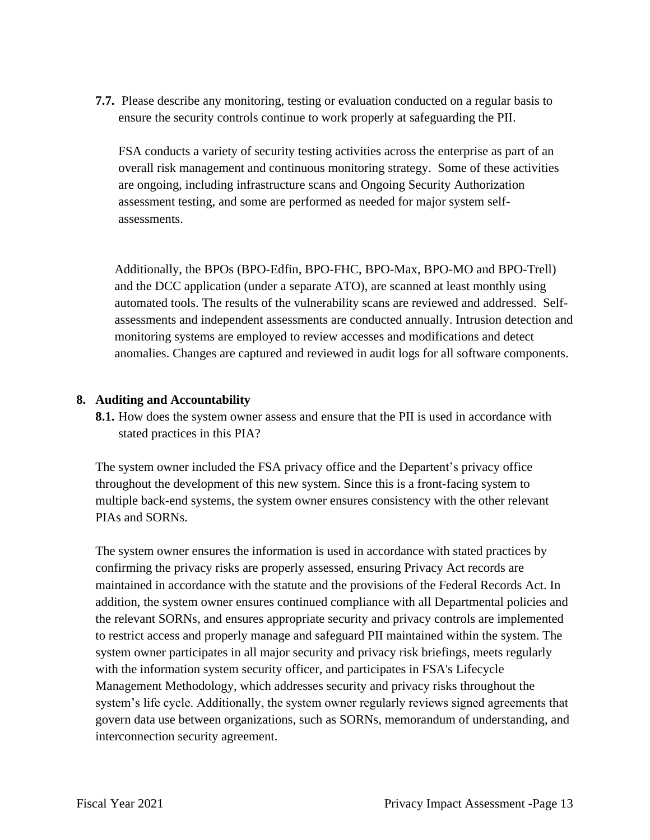**7.7.** Please describe any monitoring, testing or evaluation conducted on a regular basis to ensure the security controls continue to work properly at safeguarding the PII.

FSA conducts a variety of security testing activities across the enterprise as part of an overall risk management and continuous monitoring strategy. Some of these activities are ongoing, including infrastructure scans and Ongoing Security Authorization assessment testing, and some are performed as needed for major system selfassessments.

Additionally, the BPOs (BPO-Edfin, BPO-FHC, BPO-Max, BPO-MO and BPO-Trell) and the DCC application (under a separate ATO), are scanned at least monthly using automated tools. The results of the vulnerability scans are reviewed and addressed. Selfassessments and independent assessments are conducted annually. Intrusion detection and monitoring systems are employed to review accesses and modifications and detect anomalies. Changes are captured and reviewed in audit logs for all software components.

## **8. Auditing and Accountability**

**8.1.** How does the system owner assess and ensure that the PII is used in accordance with stated practices in this PIA?

The system owner included the FSA privacy office and the Departent's privacy office throughout the development of this new system. Since this is a front-facing system to multiple back-end systems, the system owner ensures consistency with the other relevant PIAs and SORNs.

 confirming the privacy risks are properly assessed, ensuring Privacy Act records are The system owner ensures the information is used in accordance with stated practices by maintained in accordance with the statute and the provisions of the Federal Records Act. In addition, the system owner ensures continued compliance with all Departmental policies and the relevant SORNs, and ensures appropriate security and privacy controls are implemented to restrict access and properly manage and safeguard PII maintained within the system. The system owner participates in all major security and privacy risk briefings, meets regularly with the information system security officer, and participates in FSA's Lifecycle Management Methodology, which addresses security and privacy risks throughout the system's life cycle. Additionally, the system owner regularly reviews signed agreements that govern data use between organizations, such as SORNs, memorandum of understanding, and interconnection security agreement.